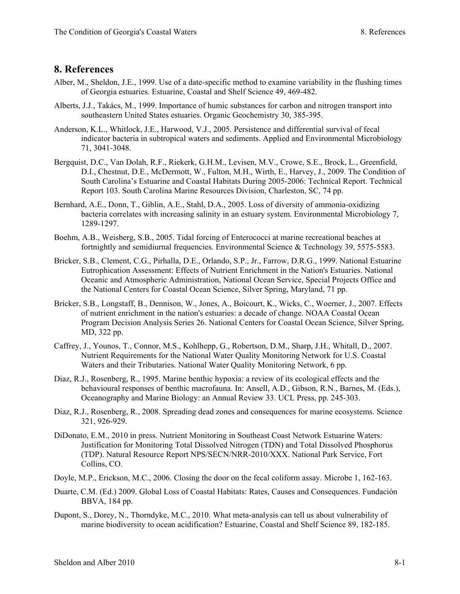## **8. References**

- Alber, M., Sheldon, J.E., 1999. Use of a date-specific method to examine variability in the flushing times of Georgia estuaries. Estuarine, Coastal and Shelf Science 49, 469-482.
- Alberts, J.J., Takács, M., 1999. Importance of humic substances for carbon and nitrogen transport into southeastern United States estuaries. Organic Geochemistry 30, 385-395.
- Anderson, K.L., Whitlock, J.E., Harwood, V.J., 2005. Persistence and differential survival of fecal indicator bacteria in subtropical waters and sediments. Applied and Environmental Microbiology 71, 3041-3048.
- Bergquist, D.C., Van Dolah, R.F., Riekerk, G.H.M., Levisen, M.V., Crowe, S.E., Brock, L., Greenfield, D.I., Chestnut, D.E., McDermott, W., Fulton, M.H., Wirth, E., Harvey, J., 2009. The Condition of South Carolina's Estuarine and Coastal Habitats During 2005-2006: Technical Report. Technical Report 103. South Carolina Marine Resources Division, Charleston, SC, 74 pp.
- Bernhard, A.E., Donn, T., Giblin, A.E., Stahl, D.A., 2005. Loss of diversity of ammonia-oxidizing bacteria correlates with increasing salinity in an estuary system. Environmental Microbiology 7, 1289-1297.
- Boehm, A.B., Weisberg, S.B., 2005. Tidal forcing of Enterococci at marine recreational beaches at fortnightly and semidiurnal frequencies. Environmental Science & Technology 39, 5575-5583.
- Bricker, S.B., Clement, C.G., Pirhalla, D.E., Orlando, S.P., Jr., Farrow, D.R.G., 1999. National Estuarine Eutrophication Assessment: Effects of Nutrient Enrichment in the Nation's Estuaries. National Oceanic and Atmospheric Administration, National Ocean Service, Special Projects Office and the National Centers for Coastal Ocean Science, Silver Spring, Maryland, 71 pp.
- Bricker, S.B., Longstaff, B., Dennison, W., Jones, A., Boicourt, K., Wicks, C., Woerner, J., 2007. Effects of nutrient enrichment in the nation's estuaries: a decade of change. NOAA Coastal Ocean Program Decision Analysis Series 26. National Centers for Coastal Ocean Science, Silver Spring, MD, 322 pp.
- Caffrey, J., Younos, T., Connor, M.S., Kohlhepp, G., Robertson, D.M., Sharp, J.H., Whitall, D., 2007. Nutrient Requirements for the National Water Quality Monitoring Network for U.S. Coastal Waters and their Tributaries. National Water Quality Monitoring Network, 6 pp.
- Diaz, R.J., Rosenberg, R., 1995. Marine benthic hypoxia: a review of its ecological effects and the behavioural responses of benthic macrofauna. In: Ansell, A.D., Gibson, R.N., Barnes, M. (Eds.), Oceanography and Marine Biology: an Annual Review 33. UCL Press, pp. 245-303.
- Diaz, R.J., Rosenberg, R., 2008. Spreading dead zones and consequences for marine ecosystems. Science 321, 926-929.
- DiDonato, E.M., 2010 in press. Nutrient Monitoring in Southeast Coast Network Estuarine Waters: Justification for Monitoring Total Dissolved Nitrogen (TDN) and Total Dissolved Phosphorus (TDP). Natural Resource Report NPS/SECN/NRR-2010/XXX. National Park Service, Fort Collins, CO.
- Doyle, M.P., Erickson, M.C., 2006. Closing the door on the fecal coliform assay. Microbe 1, 162-163.
- Duarte, C.M. (Ed.) 2009. Global Loss of Coastal Habitats: Rates, Causes and Consequences. Fundación BBVA, 184 pp.
- Dupont, S., Dorey, N., Thorndyke, M.C., 2010. What meta-analysis can tell us about vulnerability of marine biodiversity to ocean acidification? Estuarine, Coastal and Shelf Science 89, 182-185.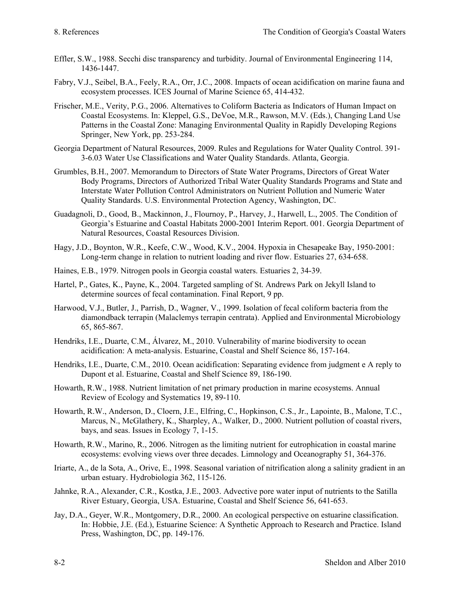- Effler, S.W., 1988. Secchi disc transparency and turbidity. Journal of Environmental Engineering 114, 1436-1447.
- Fabry, V.J., Seibel, B.A., Feely, R.A., Orr, J.C., 2008. Impacts of ocean acidification on marine fauna and ecosystem processes. ICES Journal of Marine Science 65, 414-432.
- Frischer, M.E., Verity, P.G., 2006. Alternatives to Coliform Bacteria as Indicators of Human Impact on Coastal Ecosystems. In: Kleppel, G.S., DeVoe, M.R., Rawson, M.V. (Eds.), Changing Land Use Patterns in the Coastal Zone: Managing Environmental Quality in Rapidly Developing Regions Springer, New York, pp. 253-284.
- Georgia Department of Natural Resources, 2009. Rules and Regulations for Water Quality Control. 391- 3-6.03 Water Use Classifications and Water Quality Standards. Atlanta, Georgia.
- Grumbles, B.H., 2007. Memorandum to Directors of State Water Programs, Directors of Great Water Body Programs, Directors of Authorized Tribal Water Quality Standards Programs and State and Interstate Water Pollution Control Administrators on Nutrient Pollution and Numeric Water Quality Standards. U.S. Environmental Protection Agency, Washington, DC.
- Guadagnoli, D., Good, B., Mackinnon, J., Flournoy, P., Harvey, J., Harwell, L., 2005. The Condition of Georgia's Estuarine and Coastal Habitats 2000-2001 Interim Report. 001. Georgia Department of Natural Resources, Coastal Resources Division.
- Hagy, J.D., Boynton, W.R., Keefe, C.W., Wood, K.V., 2004. Hypoxia in Chesapeake Bay, 1950-2001: Long-term change in relation to nutrient loading and river flow. Estuaries 27, 634-658.
- Haines, E.B., 1979. Nitrogen pools in Georgia coastal waters. Estuaries 2, 34-39.
- Hartel, P., Gates, K., Payne, K., 2004. Targeted sampling of St. Andrews Park on Jekyll Island to determine sources of fecal contamination. Final Report, 9 pp.
- Harwood, V.J., Butler, J., Parrish, D., Wagner, V., 1999. Isolation of fecal coliform bacteria from the diamondback terrapin (Malaclemys terrapin centrata). Applied and Environmental Microbiology 65, 865-867.
- Hendriks, I.E., Duarte, C.M., Álvarez, M., 2010. Vulnerability of marine biodiversity to ocean acidification: A meta-analysis. Estuarine, Coastal and Shelf Science 86, 157-164.
- Hendriks, I.E., Duarte, C.M., 2010. Ocean acidification: Separating evidence from judgment e A reply to Dupont et al. Estuarine, Coastal and Shelf Science 89, 186-190.
- Howarth, R.W., 1988. Nutrient limitation of net primary production in marine ecosystems. Annual Review of Ecology and Systematics 19, 89-110.
- Howarth, R.W., Anderson, D., Cloern, J.E., Elfring, C., Hopkinson, C.S., Jr., Lapointe, B., Malone, T.C., Marcus, N., McGlathery, K., Sharpley, A., Walker, D., 2000. Nutrient pollution of coastal rivers, bays, and seas. Issues in Ecology 7, 1-15.
- Howarth, R.W., Marino, R., 2006. Nitrogen as the limiting nutrient for eutrophication in coastal marine ecosystems: evolving views over three decades. Limnology and Oceanography 51, 364-376.
- Iriarte, A., de la Sota, A., Orive, E., 1998. Seasonal variation of nitrification along a salinity gradient in an urban estuary. Hydrobiologia 362, 115-126.
- Jahnke, R.A., Alexander, C.R., Kostka, J.E., 2003. Advective pore water input of nutrients to the Satilla River Estuary, Georgia, USA. Estuarine, Coastal and Shelf Science 56, 641-653.
- Jay, D.A., Geyer, W.R., Montgomery, D.R., 2000. An ecological perspective on estuarine classification. In: Hobbie, J.E. (Ed.), Estuarine Science: A Synthetic Approach to Research and Practice. Island Press, Washington, DC, pp. 149-176.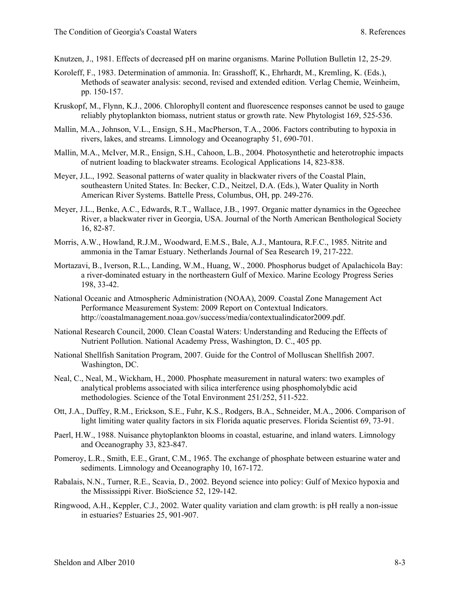- Knutzen, J., 1981. Effects of decreased pH on marine organisms. Marine Pollution Bulletin 12, 25-29.
- Koroleff, F., 1983. Determination of ammonia. In: Grasshoff, K., Ehrhardt, M., Kremling, K. (Eds.), Methods of seawater analysis: second, revised and extended edition. Verlag Chemie, Weinheim, pp. 150-157.
- Kruskopf, M., Flynn, K.J., 2006. Chlorophyll content and fluorescence responses cannot be used to gauge reliably phytoplankton biomass, nutrient status or growth rate. New Phytologist 169, 525-536.
- Mallin, M.A., Johnson, V.L., Ensign, S.H., MacPherson, T.A., 2006. Factors contributing to hypoxia in rivers, lakes, and streams. Limnology and Oceanography 51, 690-701.
- Mallin, M.A., McIver, M.R., Ensign, S.H., Cahoon, L.B., 2004. Photosynthetic and heterotrophic impacts of nutrient loading to blackwater streams. Ecological Applications 14, 823-838.
- Meyer, J.L., 1992. Seasonal patterns of water quality in blackwater rivers of the Coastal Plain, southeastern United States. In: Becker, C.D., Neitzel, D.A. (Eds.), Water Quality in North American River Systems. Battelle Press, Columbus, OH, pp. 249-276.
- Meyer, J.L., Benke, A.C., Edwards, R.T., Wallace, J.B., 1997. Organic matter dynamics in the Ogeechee River, a blackwater river in Georgia, USA. Journal of the North American Benthological Society 16, 82-87.
- Morris, A.W., Howland, R.J.M., Woodward, E.M.S., Bale, A.J., Mantoura, R.F.C., 1985. Nitrite and ammonia in the Tamar Estuary. Netherlands Journal of Sea Research 19, 217-222.
- Mortazavi, B., Iverson, R.L., Landing, W.M., Huang, W., 2000. Phosphorus budget of Apalachicola Bay: a river-dominated estuary in the northeastern Gulf of Mexico. Marine Ecology Progress Series 198, 33-42.
- National Oceanic and Atmospheric Administration (NOAA), 2009. Coastal Zone Management Act Performance Measurement System: 2009 Report on Contextual Indicators. http://coastalmanagement.noaa.gov/success/media/contextualindicator2009.pdf.
- National Research Council, 2000. Clean Coastal Waters: Understanding and Reducing the Effects of Nutrient Pollution. National Academy Press, Washington, D. C., 405 pp.
- National Shellfish Sanitation Program, 2007. Guide for the Control of Molluscan Shellfish 2007. Washington, DC.
- Neal, C., Neal, M., Wickham, H., 2000. Phosphate measurement in natural waters: two examples of analytical problems associated with silica interference using phosphomolybdic acid methodologies. Science of the Total Environment 251/252, 511-522.
- Ott, J.A., Duffey, R.M., Erickson, S.E., Fuhr, K.S., Rodgers, B.A., Schneider, M.A., 2006. Comparison of light limiting water quality factors in six Florida aquatic preserves. Florida Scientist 69, 73-91.
- Paerl, H.W., 1988. Nuisance phytoplankton blooms in coastal, estuarine, and inland waters. Limnology and Oceanography 33, 823-847.
- Pomeroy, L.R., Smith, E.E., Grant, C.M., 1965. The exchange of phosphate between estuarine water and sediments. Limnology and Oceanography 10, 167-172.
- Rabalais, N.N., Turner, R.E., Scavia, D., 2002. Beyond science into policy: Gulf of Mexico hypoxia and the Mississippi River. BioScience 52, 129-142.
- Ringwood, A.H., Keppler, C.J., 2002. Water quality variation and clam growth: is pH really a non-issue in estuaries? Estuaries 25, 901-907.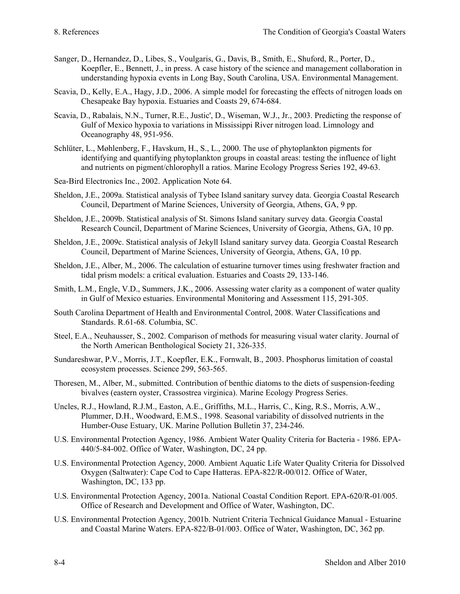- Sanger, D., Hernandez, D., Libes, S., Voulgaris, G., Davis, B., Smith, E., Shuford, R., Porter, D., Koepfler, E., Bennett, J., in press. A case history of the science and management collaboration in understanding hypoxia events in Long Bay, South Carolina, USA. Environmental Management.
- Scavia, D., Kelly, E.A., Hagy, J.D., 2006. A simple model for forecasting the effects of nitrogen loads on Chesapeake Bay hypoxia. Estuaries and Coasts 29, 674-684.
- Scavia, D., Rabalais, N.N., Turner, R.E., Justic', D., Wiseman, W.J., Jr., 2003. Predicting the response of Gulf of Mexico hypoxia to variations in Mississippi River nitrogen load. Limnology and Oceanography 48, 951-956.
- Schlüter, L., Møhlenberg, F., Havskum, H., S., L., 2000. The use of phytoplankton pigments for identifying and quantifying phytoplankton groups in coastal areas: testing the influence of light and nutrients on pigment/chlorophyll a ratios. Marine Ecology Progress Series 192, 49-63.
- Sea-Bird Electronics Inc., 2002. Application Note 64.
- Sheldon, J.E., 2009a. Statistical analysis of Tybee Island sanitary survey data. Georgia Coastal Research Council, Department of Marine Sciences, University of Georgia, Athens, GA, 9 pp.
- Sheldon, J.E., 2009b. Statistical analysis of St. Simons Island sanitary survey data. Georgia Coastal Research Council, Department of Marine Sciences, University of Georgia, Athens, GA, 10 pp.
- Sheldon, J.E., 2009c. Statistical analysis of Jekyll Island sanitary survey data. Georgia Coastal Research Council, Department of Marine Sciences, University of Georgia, Athens, GA, 10 pp.
- Sheldon, J.E., Alber, M., 2006. The calculation of estuarine turnover times using freshwater fraction and tidal prism models: a critical evaluation. Estuaries and Coasts 29, 133-146.
- Smith, L.M., Engle, V.D., Summers, J.K., 2006. Assessing water clarity as a component of water quality in Gulf of Mexico estuaries. Environmental Monitoring and Assessment 115, 291-305.
- South Carolina Department of Health and Environmental Control, 2008. Water Classifications and Standards. R.61-68. Columbia, SC.
- Steel, E.A., Neuhausser, S., 2002. Comparison of methods for measuring visual water clarity. Journal of the North American Benthological Society 21, 326-335.
- Sundareshwar, P.V., Morris, J.T., Koepfler, E.K., Fornwalt, B., 2003. Phosphorus limitation of coastal ecosystem processes. Science 299, 563-565.
- Thoresen, M., Alber, M., submitted. Contribution of benthic diatoms to the diets of suspension-feeding bivalves (eastern oyster, Crassostrea virginica). Marine Ecology Progress Series.
- Uncles, R.J., Howland, R.J.M., Easton, A.E., Griffiths, M.L., Harris, C., King, R.S., Morris, A.W., Plummer, D.H., Woodward, E.M.S., 1998. Seasonal variability of dissolved nutrients in the Humber-Ouse Estuary, UK. Marine Pollution Bulletin 37, 234-246.
- U.S. Environmental Protection Agency, 1986. Ambient Water Quality Criteria for Bacteria 1986. EPA-440/5-84-002. Office of Water, Washington, DC, 24 pp.
- U.S. Environmental Protection Agency, 2000. Ambient Aquatic Life Water Quality Criteria for Dissolved Oxygen (Saltwater): Cape Cod to Cape Hatteras. EPA-822/R-00/012. Office of Water, Washington, DC, 133 pp.
- U.S. Environmental Protection Agency, 2001a. National Coastal Condition Report. EPA-620/R-01/005. Office of Research and Development and Office of Water, Washington, DC.
- U.S. Environmental Protection Agency, 2001b. Nutrient Criteria Technical Guidance Manual Estuarine and Coastal Marine Waters. EPA-822/B-01/003. Office of Water, Washington, DC, 362 pp.